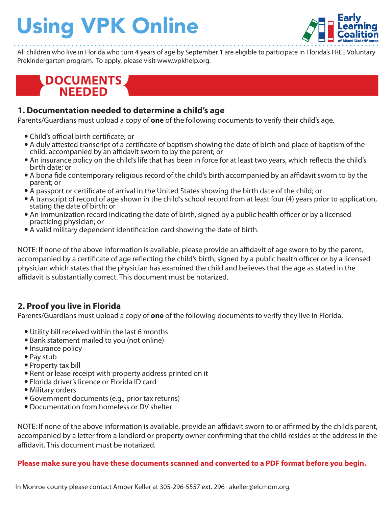# Using VPK Online



All children who live in Florida who turn 4 years of age by September 1 are eligible to participate in Florida's FREE Voluntary Prekindergarten program. To apply, please visit www.vpkhelp.org.

## **DOCUMENTS NEEDED**

#### **1. Documentation needed to determine a child's age**

Parents/Guardians must upload a copy of **one** of the following documents to verify their child's age.

- Child's official birth certificate: or
- A duly attested transcript of a certificate of baptism showing the date of birth and place of baptism of the child, accompanied by an affidavit sworn to by the parent; or
- An insurance policy on the child's life that has been in force for at least two years, which reflects the child's birth date; or
- A bona fide contemporary religious record of the child's birth accompanied by an affidavit sworn to by the parent; or
- A passport or certificate of arrival in the United States showing the birth date of the child; or
- A transcript of record of age shown in the child's school record from at least four (4) years prior to application, stating the date of birth; or
- An immunization record indicating the date of birth, signed by a public health officer or by a licensed practicing physician; or
- A valid military dependent identification card showing the date of birth.

NOTE: If none of the above information is available, please provide an affidavit of age sworn to by the parent, accompanied by a certificate of age reflecting the child's birth, signed by a public health officer or by a licensed physician which states that the physician has examined the child and believes that the age as stated in the affidavit is substantially correct. This document must be notarized.

### **2. Proof you live in Florida**

Parents/Guardians must upload a copy of **one** of the following documents to verify they live in Florida.

- Utility bill received within the last 6 months
- Bank statement mailed to you (not online)
- Insurance policy
- Pay stub
- Property tax bill
- Rent or lease receipt with property address printed on it
- Florida driver's licence or Florida ID card
- Military orders
- Government documents (e.g., prior tax returns)
- Documentation from homeless or DV shelter

NOTE: If none of the above information is available, provide an affidavit sworn to or affirmed by the child's parent, accompanied by a letter from a landlord or property owner confirming that the child resides at the address in the affidavit. This document must be notarized.

#### **Please make sure you have these documents scanned and converted to a PDF format before you begin.**